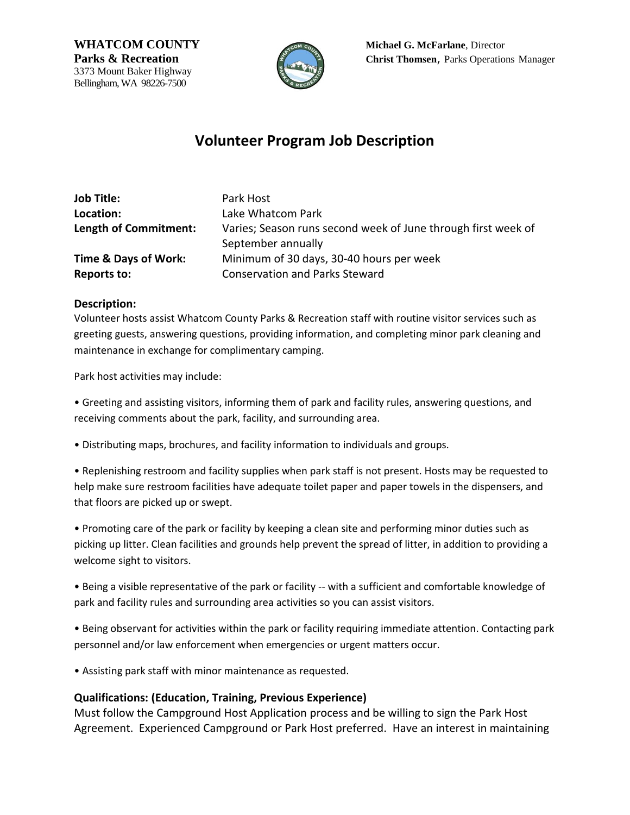3373 Mount Baker Highway Bellingham, WA 98226-7500



**WHATCOM COUNTY** Michael G. McFarlane, Director **Parks & Recreation Christ Thomsen**, Parks Operations Manager

# **Volunteer Program Job Description**

| <b>Job Title:</b>               | Park Host                                                     |
|---------------------------------|---------------------------------------------------------------|
| Location:                       | Lake Whatcom Park                                             |
| Length of Commitment:           | Varies; Season runs second week of June through first week of |
|                                 | September annually                                            |
| <b>Time &amp; Days of Work:</b> | Minimum of 30 days, 30-40 hours per week                      |
| <b>Reports to:</b>              | <b>Conservation and Parks Steward</b>                         |

#### **Description:**

Volunteer hosts assist Whatcom County Parks & Recreation staff with routine visitor services such as greeting guests, answering questions, providing information, and completing minor park cleaning and maintenance in exchange for complimentary camping.

Park host activities may include:

• Greeting and assisting visitors, informing them of park and facility rules, answering questions, and receiving comments about the park, facility, and surrounding area.

• Distributing maps, brochures, and facility information to individuals and groups.

• Replenishing restroom and facility supplies when park staff is not present. Hosts may be requested to help make sure restroom facilities have adequate toilet paper and paper towels in the dispensers, and that floors are picked up or swept.

• Promoting care of the park or facility by keeping a clean site and performing minor duties such as picking up litter. Clean facilities and grounds help prevent the spread of litter, in addition to providing a welcome sight to visitors.

• Being a visible representative of the park or facility -- with a sufficient and comfortable knowledge of park and facility rules and surrounding area activities so you can assist visitors.

• Being observant for activities within the park or facility requiring immediate attention. Contacting park personnel and/or law enforcement when emergencies or urgent matters occur.

• Assisting park staff with minor maintenance as requested.

#### **Qualifications: (Education, Training, Previous Experience)**

Must follow the Campground Host Application process and be willing to sign the Park Host Agreement. Experienced Campground or Park Host preferred. Have an interest in maintaining